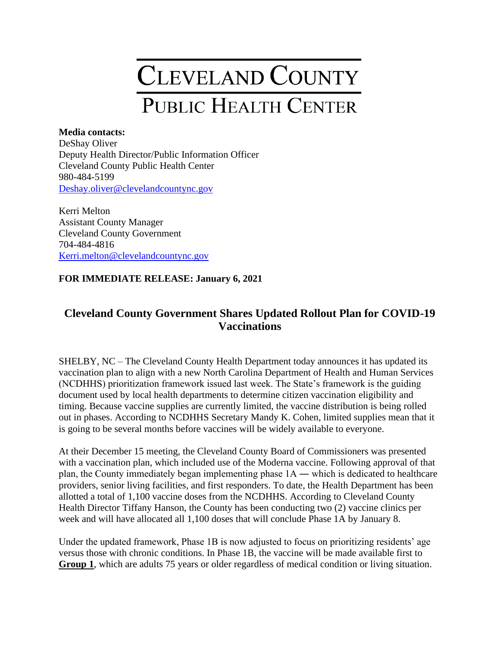# **CLEVELAND COUNTY** PUBLIC HEALTH CENTER

#### **Media contacts:**

DeShay Oliver Deputy Health Director/Public Information Officer Cleveland County Public Health Center 980-484-5199 [Deshay.oliver@clevelandcountync.gov](mailto:Deshay.oliver@clevelandcountync.gov)

Kerri Melton Assistant County Manager Cleveland County Government 704-484-4816 [Kerri.melton@clevelandcountync.gov](mailto:Kerri.melton@clevelandcountync.gov)

#### **FOR IMMEDIATE RELEASE: January 6, 2021**

# **Cleveland County Government Shares Updated Rollout Plan for COVID-19 Vaccinations**

SHELBY, NC – The Cleveland County Health Department today announces it has updated its vaccination plan to align with a new North Carolina Department of Health and Human Services (NCDHHS) prioritization framework issued last week. The State's framework is the guiding document used by local health departments to determine citizen vaccination eligibility and timing. Because vaccine supplies are currently limited, the vaccine distribution is being rolled out in phases. According to NCDHHS Secretary Mandy K. Cohen, limited supplies mean that it is going to be several months before vaccines will be widely available to everyone.

At their December 15 meeting, the Cleveland County Board of Commissioners was presented with a vaccination plan, which included use of the Moderna vaccine. Following approval of that plan, the County immediately began implementing phase 1A ― which is dedicated to healthcare providers, senior living facilities, and first responders. To date, the Health Department has been allotted a total of 1,100 vaccine doses from the NCDHHS. According to Cleveland County Health Director Tiffany Hanson, the County has been conducting two (2) vaccine clinics per week and will have allocated all 1,100 doses that will conclude Phase 1A by January 8.

Under the updated framework, Phase 1B is now adjusted to focus on prioritizing residents' age versus those with chronic conditions. In Phase 1B, the vaccine will be made available first to **Group 1**, which are adults 75 years or older regardless of medical condition or living situation.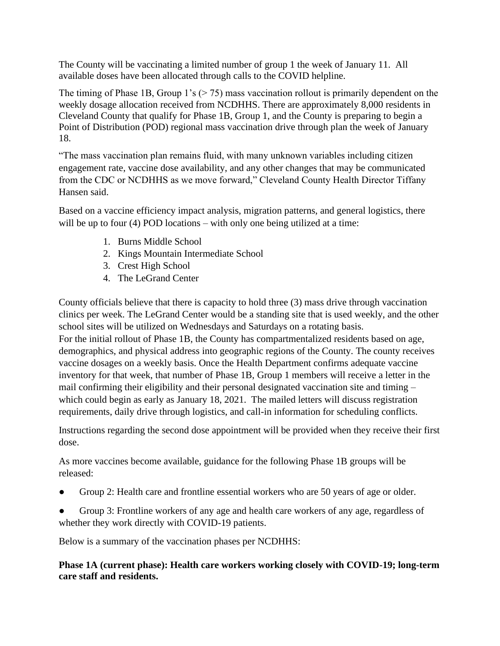The County will be vaccinating a limited number of group 1 the week of January 11. All available doses have been allocated through calls to the COVID helpline.

The timing of Phase 1B, Group 1's  $($  > 75) mass vaccination rollout is primarily dependent on the weekly dosage allocation received from NCDHHS. There are approximately 8,000 residents in Cleveland County that qualify for Phase 1B, Group 1, and the County is preparing to begin a Point of Distribution (POD) regional mass vaccination drive through plan the week of January 18.

"The mass vaccination plan remains fluid, with many unknown variables including citizen engagement rate, vaccine dose availability, and any other changes that may be communicated from the CDC or NCDHHS as we move forward," Cleveland County Health Director Tiffany Hansen said.

Based on a vaccine efficiency impact analysis, migration patterns, and general logistics, there will be up to four (4) POD locations – with only one being utilized at a time:

- 1. Burns Middle School
- 2. Kings Mountain Intermediate School
- 3. Crest High School
- 4. The LeGrand Center

County officials believe that there is capacity to hold three (3) mass drive through vaccination clinics per week. The LeGrand Center would be a standing site that is used weekly, and the other school sites will be utilized on Wednesdays and Saturdays on a rotating basis. For the initial rollout of Phase 1B, the County has compartmentalized residents based on age, demographics, and physical address into geographic regions of the County. The county receives vaccine dosages on a weekly basis. Once the Health Department confirms adequate vaccine inventory for that week, that number of Phase 1B, Group 1 members will receive a letter in the mail confirming their eligibility and their personal designated vaccination site and timing – which could begin as early as January 18, 2021. The mailed letters will discuss registration requirements, daily drive through logistics, and call-in information for scheduling conflicts.

Instructions regarding the second dose appointment will be provided when they receive their first dose.

As more vaccines become available, guidance for the following Phase 1B groups will be released:

- Group 2: Health care and frontline essential workers who are 50 years of age or older.
- Group 3: Frontline workers of any age and health care workers of any age, regardless of whether they work directly with COVID-19 patients.

Below is a summary of the vaccination phases per NCDHHS:

**Phase 1A (current phase): Health care workers working closely with COVID-19; long-term care staff and residents.**